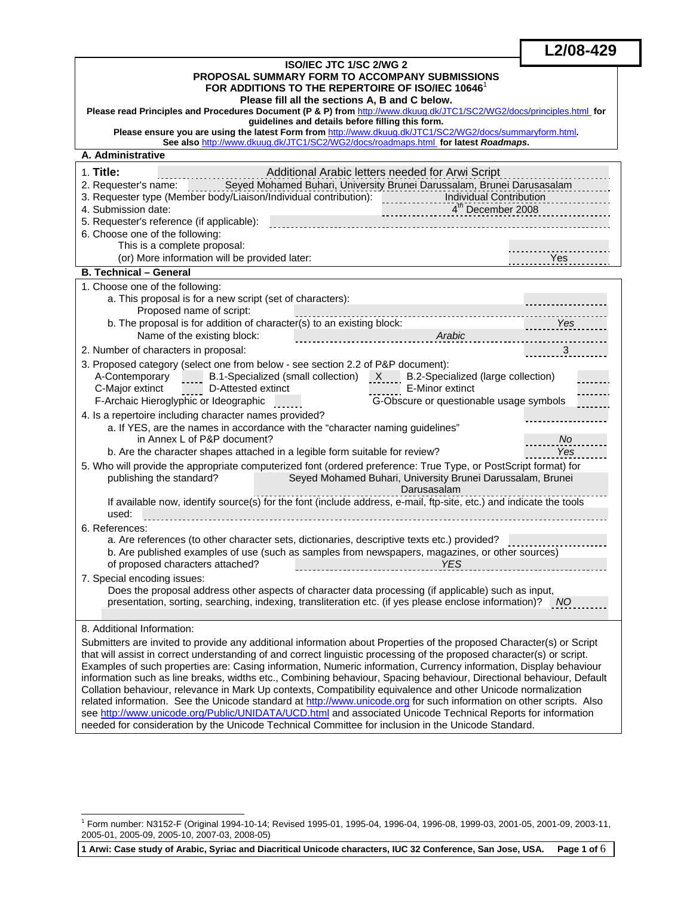| ISO/IEC JTC 1/SC 2/WG 2                                                                                                             |            |  |  |  |  |  |
|-------------------------------------------------------------------------------------------------------------------------------------|------------|--|--|--|--|--|
| <b>PROPOSAL SUMMARY FORM TO ACCOMPANY SUBMISSIONS</b>                                                                               |            |  |  |  |  |  |
| FOR ADDITIONS TO THE REPERTOIRE OF ISO/IEC 10646                                                                                    |            |  |  |  |  |  |
| Please fill all the sections A, B and C below.                                                                                      |            |  |  |  |  |  |
| Please read Principles and Procedures Document (P & P) from http://www.dkuug.dk/JTC1/SC2/WG2/docs/principles.html for               |            |  |  |  |  |  |
| guidelines and details before filling this form.                                                                                    |            |  |  |  |  |  |
| Please ensure you are using the latest Form from http://www.dkuug.dk/JTC1/SC2/WG2/docs/summaryform.html.                            |            |  |  |  |  |  |
| See also http://www.dkuug.dk/JTC1/SC2/WG2/docs/roadmaps.html for latest Roadmaps.                                                   |            |  |  |  |  |  |
| A. Administrative                                                                                                                   |            |  |  |  |  |  |
| 1. Title:<br>Additional Arabic letters needed for Arwi Script                                                                       |            |  |  |  |  |  |
| 2. Requester's name: Seyed Mohamed Buhari, University Brunei Darussalam, Brunei Darusasalam                                         |            |  |  |  |  |  |
|                                                                                                                                     |            |  |  |  |  |  |
| $4^{th}$ December 2008<br>4. Submission date:                                                                                       | .          |  |  |  |  |  |
| 5. Requester's reference (if applicable):                                                                                           |            |  |  |  |  |  |
| 6. Choose one of the following:                                                                                                     |            |  |  |  |  |  |
| This is a complete proposal:                                                                                                        |            |  |  |  |  |  |
| (or) More information will be provided later:                                                                                       | Yes        |  |  |  |  |  |
| <b>B. Technical - General</b>                                                                                                       |            |  |  |  |  |  |
|                                                                                                                                     |            |  |  |  |  |  |
| 1. Choose one of the following:                                                                                                     |            |  |  |  |  |  |
| a. This proposal is for a new script (set of characters):                                                                           |            |  |  |  |  |  |
| Proposed name of script:                                                                                                            |            |  |  |  |  |  |
| b. The proposal is for addition of character(s) to an existing block:                                                               | <u>Yes</u> |  |  |  |  |  |
| Name of the existing block:<br>Arabic                                                                                               |            |  |  |  |  |  |
| 2. Number of characters in proposal:                                                                                                |            |  |  |  |  |  |
| 3. Proposed category (select one from below - see section 2.2 of P&P document):                                                     |            |  |  |  |  |  |
| A-Contemporary B.1-Specialized (small collection) X B.2-Specialized (large collection)                                              |            |  |  |  |  |  |
| D-Attested extinct<br>C-Major extinct<br>E-Minor extinct                                                                            |            |  |  |  |  |  |
| G-Obscure or questionable usage symbols<br>F-Archaic Hieroglyphic or Ideographic                                                    |            |  |  |  |  |  |
| 4. Is a repertoire including character names provided?                                                                              |            |  |  |  |  |  |
| a. If YES, are the names in accordance with the "character naming guidelines"                                                       |            |  |  |  |  |  |
| in Annex L of P&P document?                                                                                                         | No.        |  |  |  |  |  |
| b. Are the character shapes attached in a legible form suitable for review?                                                         | Yes        |  |  |  |  |  |
| 5. Who will provide the appropriate computerized font (ordered preference: True Type, or PostScript format) for                     |            |  |  |  |  |  |
| Seyed Mohamed Buhari, University Brunei Darussalam, Brunei<br>publishing the standard?                                              |            |  |  |  |  |  |
| Darusasalam                                                                                                                         |            |  |  |  |  |  |
| If available now, identify source(s) for the font (include address, e-mail, ftp-site, etc.) and indicate the tools                  |            |  |  |  |  |  |
| used:                                                                                                                               |            |  |  |  |  |  |
| 6. References:                                                                                                                      |            |  |  |  |  |  |
|                                                                                                                                     |            |  |  |  |  |  |
| a. Are references (to other character sets, dictionaries, descriptive texts etc.) provided?                                         |            |  |  |  |  |  |
| b. Are published examples of use (such as samples from newspapers, magazines, or other sources)<br>of proposed characters attached? |            |  |  |  |  |  |
| <u>NES</u>                                                                                                                          |            |  |  |  |  |  |
| 7. Special encoding issues:                                                                                                         |            |  |  |  |  |  |
| Does the proposal address other aspects of character data processing (if applicable) such as input,                                 |            |  |  |  |  |  |
| presentation, sorting, searching, indexing, transliteration etc. (if yes please enclose information)? NO                            |            |  |  |  |  |  |
|                                                                                                                                     |            |  |  |  |  |  |
| 8. Additional Information:                                                                                                          |            |  |  |  |  |  |
| Submitters are invited to provide any additional information about Properties of the proposed Character(s) or Script                |            |  |  |  |  |  |
| that will assist in correct understanding of and correct linguistic processing of the proposed character(s) or script.              |            |  |  |  |  |  |
| Examples of such properties are: Casing information, Numeric information, Currency information, Display behaviour                   |            |  |  |  |  |  |
| information such as line breaks, widths etc., Combining behaviour, Spacing behaviour, Directional behaviour, Default                |            |  |  |  |  |  |
| Collation behaviour, relevance in Mark Up contexts, Compatibility equivalence and other Unicode normalization                       |            |  |  |  |  |  |
| related information. See the Unicode standard at http://www.unicode.org for such information on other scripts. Also                 |            |  |  |  |  |  |

**L2/08-429**

see http://www.unicode.org/Public/UNIDATA/UCD.html and associated Unicode Technical Reports for information

needed for consideration by the Unicode Technical Committee for inclusion in the Unicode Standard.

**1 Arwi: Case study of Arabic, Syriac and Diacritical Unicode characters, IUC 32 Conference, San Jose, USA. Page 1 of** 6

 1 Form number: N3152-F (Original 1994-10-14; Revised 1995-01, 1995-04, 1996-04, 1996-08, 1999-03, 2001-05, 2001-09, 2003-11, 2005-01, 2005-09, 2005-10, 2007-03, 2008-05)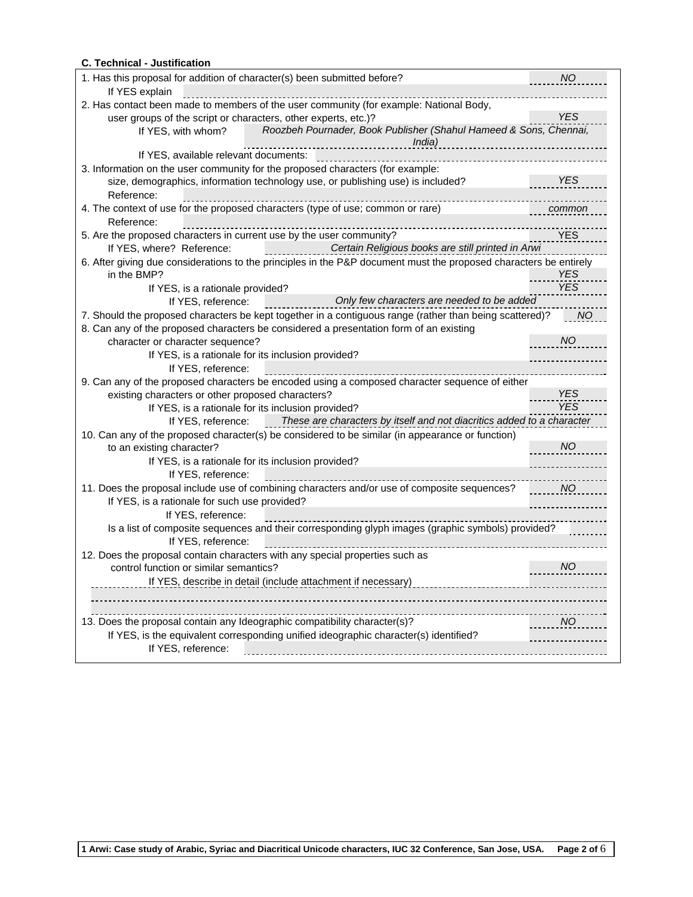| <b>C. Technical - Justification</b>                                                                               |            |
|-------------------------------------------------------------------------------------------------------------------|------------|
| 1. Has this proposal for addition of character(s) been submitted before?                                          | <b>NO</b>  |
| If YES explain                                                                                                    |            |
| 2. Has contact been made to members of the user community (for example: National Body,                            |            |
| user groups of the script or characters, other experts, etc.)?                                                    | <b>YES</b> |
| Roozbeh Pournader, Book Publisher (Shahul Hameed & Sons, Chennai,<br>If YES, with whom?                           |            |
| India)<br>.<br>If YES, available relevant documents:                                                              |            |
| 3. Information on the user community for the proposed characters (for example:                                    |            |
| size, demographics, information technology use, or publishing use) is included?                                   | <b>YES</b> |
| Reference:                                                                                                        |            |
| 4. The context of use for the proposed characters (type of use; common or rare)                                   | common     |
| Reference:                                                                                                        |            |
| 5. Are the proposed characters in current use by the user community?                                              | <b>YES</b> |
| Certain Religious books are still printed in Arwi<br>If YES, where? Reference:                                    |            |
| 6. After giving due considerations to the principles in the P&P document must the proposed characters be entirely |            |
| in the BMP?                                                                                                       | YES        |
| If YES, is a rationale provided?                                                                                  | <b>YES</b> |
| Only few characters are needed to be added<br>If YES, reference:                                                  |            |
| 7. Should the proposed characters be kept together in a contiguous range (rather than being scattered)?           | NO.        |
| 8. Can any of the proposed characters be considered a presentation form of an existing                            |            |
| character or character sequence?                                                                                  | <b>NO</b>  |
| If YES, is a rationale for its inclusion provided?                                                                |            |
| If YES, reference:                                                                                                |            |
| 9. Can any of the proposed characters be encoded using a composed character sequence of either                    |            |
| existing characters or other proposed characters?                                                                 | <b>YES</b> |
| If YES, is a rationale for its inclusion provided?                                                                | <b>YES</b> |
| These are characters by itself and not diacritics added to a character<br>If YES, reference:                      |            |
| 10. Can any of the proposed character(s) be considered to be similar (in appearance or function)                  |            |
| to an existing character?                                                                                         | <b>NO</b>  |
|                                                                                                                   |            |
| If YES, is a rationale for its inclusion provided?                                                                |            |
| If YES, reference:                                                                                                |            |
| 11. Does the proposal include use of combining characters and/or use of composite sequences?                      | <b>NO</b>  |
| If YES, is a rationale for such use provided?                                                                     |            |
| If YES, reference:                                                                                                |            |
| Is a list of composite sequences and their corresponding glyph images (graphic symbols) provided?                 |            |
| If YES, reference:                                                                                                |            |
| 12. Does the proposal contain characters with any special properties such as                                      |            |
| control function or similar semantics?                                                                            | <b>NO</b>  |
| If YES, describe in detail (include attachment if necessary)                                                      |            |
|                                                                                                                   |            |
|                                                                                                                   |            |
| 13. Does the proposal contain any Ideographic compatibility character(s)?                                         | <b>NO</b>  |
| If YES, is the equivalent corresponding unified ideographic character(s) identified?                              |            |
| If YES, reference:                                                                                                |            |
|                                                                                                                   |            |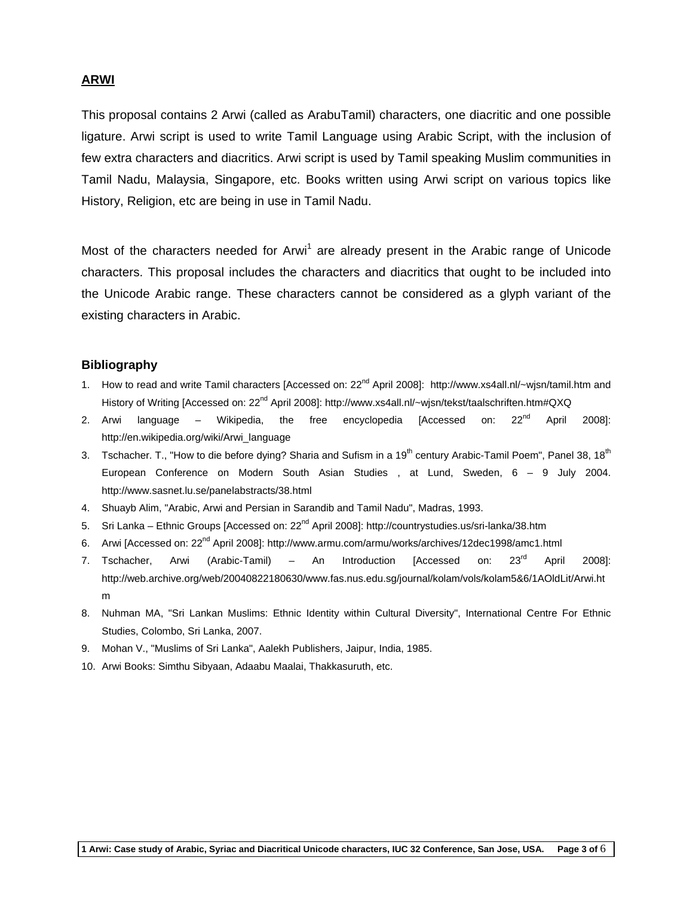### **ARWI**

This proposal contains 2 Arwi (called as ArabuTamil) characters, one diacritic and one possible ligature. Arwi script is used to write Tamil Language using Arabic Script, with the inclusion of few extra characters and diacritics. Arwi script is used by Tamil speaking Muslim communities in Tamil Nadu, Malaysia, Singapore, etc. Books written using Arwi script on various topics like History, Religion, etc are being in use in Tamil Nadu.

Most of the characters needed for Arwi<sup>1</sup> are already present in the Arabic range of Unicode characters. This proposal includes the characters and diacritics that ought to be included into the Unicode Arabic range. These characters cannot be considered as a glyph variant of the existing characters in Arabic.

#### **Bibliography**

- 1. How to read and write Tamil characters [Accessed on: 22<sup>nd</sup> April 2008]: http://www.xs4all.nl/~wjsn/tamil.htm and History of Writing [Accessed on: 22<sup>nd</sup> April 2008]: http://www.xs4all.nl/~wjsn/tekst/taalschriften.htm#QXQ
- 2. Arwi language Wikipedia, the free encyclopedia [Accessed on:  $22^{nd}$  April 2008]: http://en.wikipedia.org/wiki/Arwi\_language
- 3. Tschacher. T., "How to die before dying? Sharia and Sufism in a 19<sup>th</sup> century Arabic-Tamil Poem", Panel 38, 18<sup>th</sup> European Conference on Modern South Asian Studies , at Lund, Sweden, 6 – 9 July 2004. http://www.sasnet.lu.se/panelabstracts/38.html
- 4. Shuayb Alim, "Arabic, Arwi and Persian in Sarandib and Tamil Nadu", Madras, 1993.
- 5. Sri Lanka Ethnic Groups [Accessed on: 22<sup>nd</sup> April 2008]: http://countrystudies.us/sri-lanka/38.htm
- 6. Arwi [Accessed on: 22<sup>nd</sup> April 2008]: http://www.armu.com/armu/works/archives/12dec1998/amc1.html
- 7. Tschacher, Arwi (Arabic-Tamil) An Introduction [Accessed on: 23<sup>rd</sup> April 2008]: http://web.archive.org/web/20040822180630/www.fas.nus.edu.sg/journal/kolam/vols/kolam5&6/1AOldLit/Arwi.ht m
- 8. Nuhman MA, "Sri Lankan Muslims: Ethnic Identity within Cultural Diversity", International Centre For Ethnic Studies, Colombo, Sri Lanka, 2007.
- 9. Mohan V., "Muslims of Sri Lanka", Aalekh Publishers, Jaipur, India, 1985.
- 10. Arwi Books: Simthu Sibyaan, Adaabu Maalai, Thakkasuruth, etc.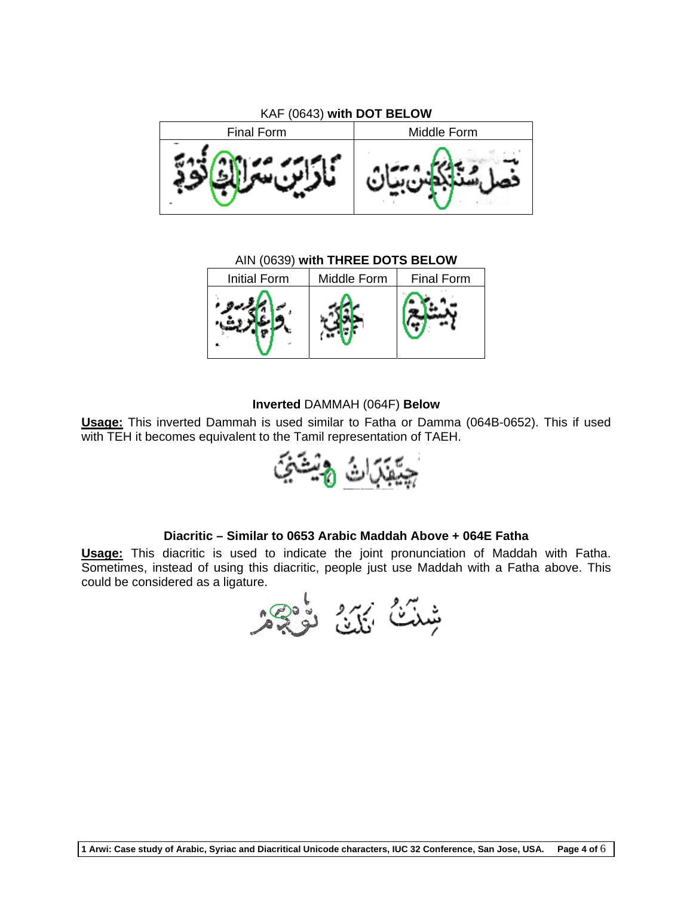

AIN (0639) **with THREE DOTS BELOW**



#### **Inverted** DAMMAH (064F) **Below**

**Usage:** This inverted Dammah is used similar to Fatha or Damma (064B-0652). This if used with TEH it becomes equivalent to the Tamil representation of TAEH.



## **Diacritic – Similar to 0653 Arabic Maddah Above + 064E Fatha**

**Usage:** This diacritic is used to indicate the joint pronunciation of Maddah with Fatha. Sometimes, instead of using this diacritic, people just use Maddah with a Fatha above. This could be considered as a ligature.

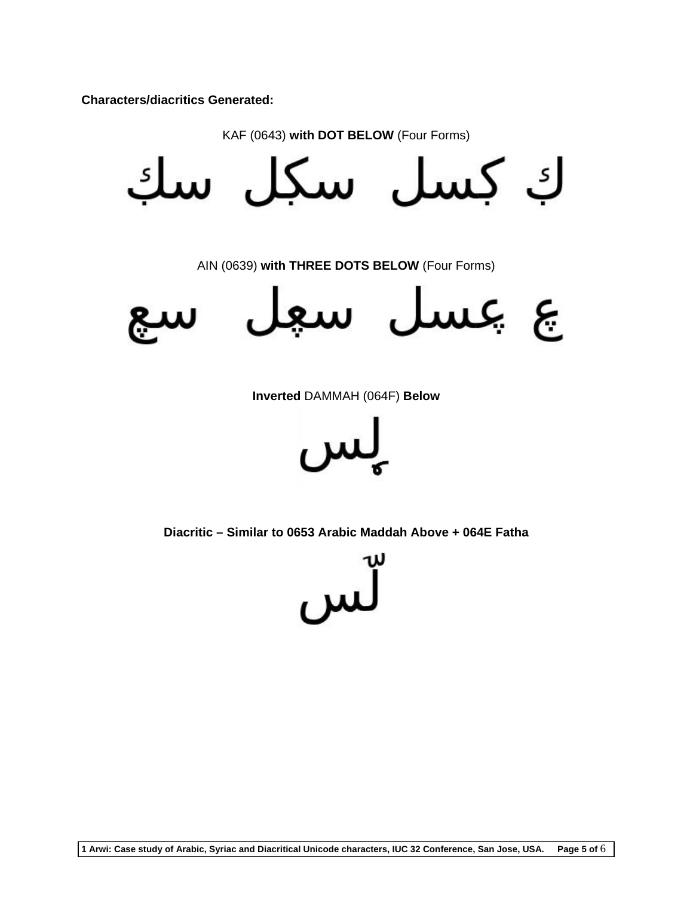**Characters/diacritics Generated:** 

KAF (0643) **with DOT BELOW** (Four Forms)

كِ كِسل سكِل س  $\mathsf{S}_{\mathsf{S}}$ 

AIN (0639) **with THREE DOTS BELOW** (Four Forms)





**Inverted** DAMMAH (064F) **Below** 

**Diacritic – Similar to 0653 Arabic Maddah Above + 064E Fatha**